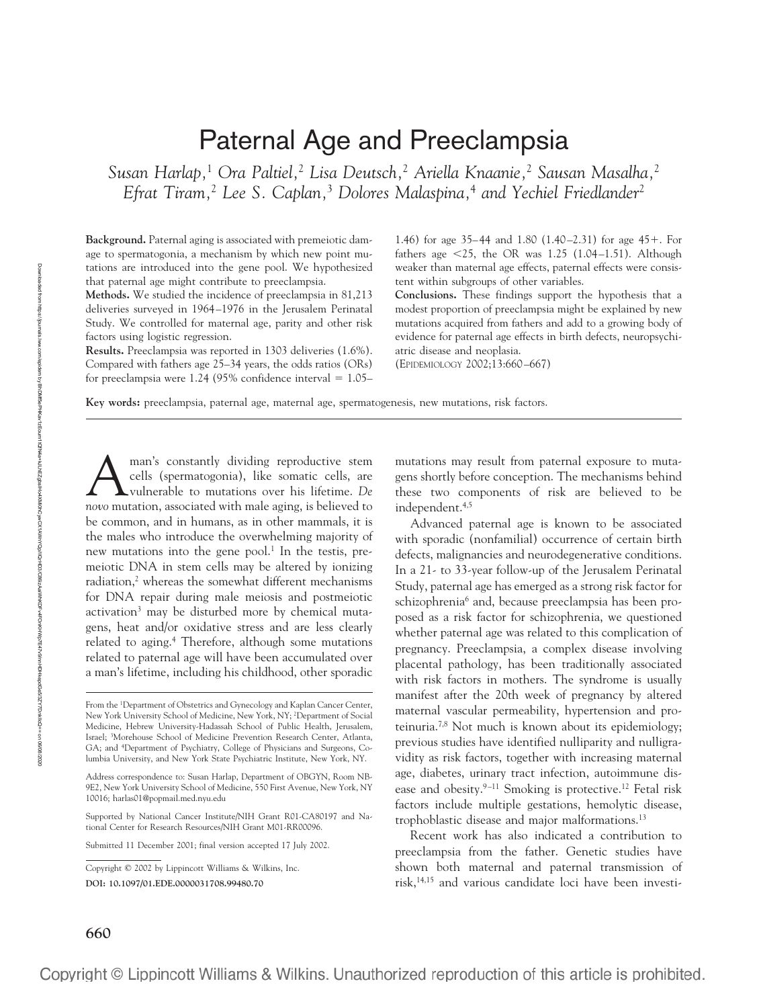# Paternal Age and Preeclampsia

*Susan Harlap,*<sup>1</sup> *Ora Paltiel,*<sup>2</sup> *Lisa Deutsch,*<sup>2</sup> *Ariella Knaanie,*<sup>2</sup> *Sausan Masalha,*<sup>2</sup> *Efrat Tiram,*<sup>2</sup> *Lee S. Caplan,*<sup>3</sup> *Dolores Malaspina,*<sup>4</sup> *and Yechiel Friedlander*<sup>2</sup>

**Background.** Paternal aging is associated with premeiotic damage to spermatogonia, a mechanism by which new point mutations are introduced into the gene pool. We hypothesized that paternal age might contribute to preeclampsia.

**Methods.** We studied the incidence of preeclampsia in 81,213 deliveries surveyed in 1964–1976 in the Jerusalem Perinatal Study. We controlled for maternal age, parity and other risk factors using logistic regression.

**Results.** Preeclampsia was reported in 1303 deliveries (1.6%). Compared with fathers age 25–34 years, the odds ratios (ORs) for preeclampsia were 1.24 (95% confidence interval  $= 1.05-$ 

1.46) for age 35–44 and 1.80 (1.40–2.31) for age 45-. For fathers age  $\lt 25$ , the OR was 1.25 (1.04–1.51). Although weaker than maternal age effects, paternal effects were consistent within subgroups of other variables.

**Conclusions.** These findings support the hypothesis that a modest proportion of preeclampsia might be explained by new mutations acquired from fathers and add to a growing body of evidence for paternal age effects in birth defects, neuropsychiatric disease and neoplasia.

(EPIDEMIOLOGY 2002;13:660–667)

**Key words:** preeclampsia, paternal age, maternal age, spermatogenesis, new mutations, risk factors.

man's constantly dividing reproductive stem cells (spermatogonia), like somatic cells, are vulnerable to mutations over his lifetime. *De novo* mutation, associated with male aging, is believed to be common, and in humans, as in other mammals, it is the males who introduce the overwhelming majority of new mutations into the gene pool.<sup>1</sup> In the testis, premeiotic DNA in stem cells may be altered by ionizing radiation,<sup>2</sup> whereas the somewhat different mechanisms for DNA repair during male meiosis and postmeiotic activation<sup>3</sup> may be disturbed more by chemical mutagens, heat and/or oxidative stress and are less clearly related to aging.<sup>4</sup> Therefore, although some mutations related to paternal age will have been accumulated over a man's lifetime, including his childhood, other sporadic

**660**

mutations may result from paternal exposure to mutagens shortly before conception. The mechanisms behind these two components of risk are believed to be independent.4,5

Advanced paternal age is known to be associated with sporadic (nonfamilial) occurrence of certain birth defects, malignancies and neurodegenerative conditions. In a 21- to 33-year follow-up of the Jerusalem Perinatal Study, paternal age has emerged as a strong risk factor for schizophrenia<sup>6</sup> and, because preeclampsia has been proposed as a risk factor for schizophrenia, we questioned whether paternal age was related to this complication of pregnancy. Preeclampsia, a complex disease involving placental pathology, has been traditionally associated with risk factors in mothers. The syndrome is usually manifest after the 20th week of pregnancy by altered maternal vascular permeability, hypertension and proteinuria.7,8 Not much is known about its epidemiology; previous studies have identified nulliparity and nulligravidity as risk factors, together with increasing maternal age, diabetes, urinary tract infection, autoimmune disease and obesity.9–11 Smoking is protective.12 Fetal risk factors include multiple gestations, hemolytic disease, trophoblastic disease and major malformations.13

Recent work has also indicated a contribution to preeclampsia from the father. Genetic studies have shown both maternal and paternal transmission of risk,14,15 and various candidate loci have been investi-

From the <sup>1</sup> Department of Obstetrics and Gynecology and Kaplan Cancer Center, New York University School of Medicine, New York, NY; <sup>2</sup> Department of Social Medicine, Hebrew University-Hadassah School of Public Health, Jerusalem, Israel; <sup>3</sup> Morehouse School of Medicine Prevention Research Center, Atlanta, GA; and <sup>4</sup> Department of Psychiatry, College of Physicians and Surgeons, Columbia University, and New York State Psychiatric Institute, New York, NY.

Address correspondence to: Susan Harlap, Department of OBGYN, Room NB-9E2, New York University School of Medicine, 550 First Avenue, New York, NY 10016; harlas01@popmail.med.nyu.edu

Supported by National Cancer Institute/NIH Grant R01-CA80197 and National Center for Research Resources/NIH Grant M01-RR00096.

Submitted 11 December 2001; final version accepted 17 July 2002.

Copyright © 2002 by Lippincott Williams & Wilkins, Inc.

**DOI: 10.1097/01.EDE.0000031708.99480.70**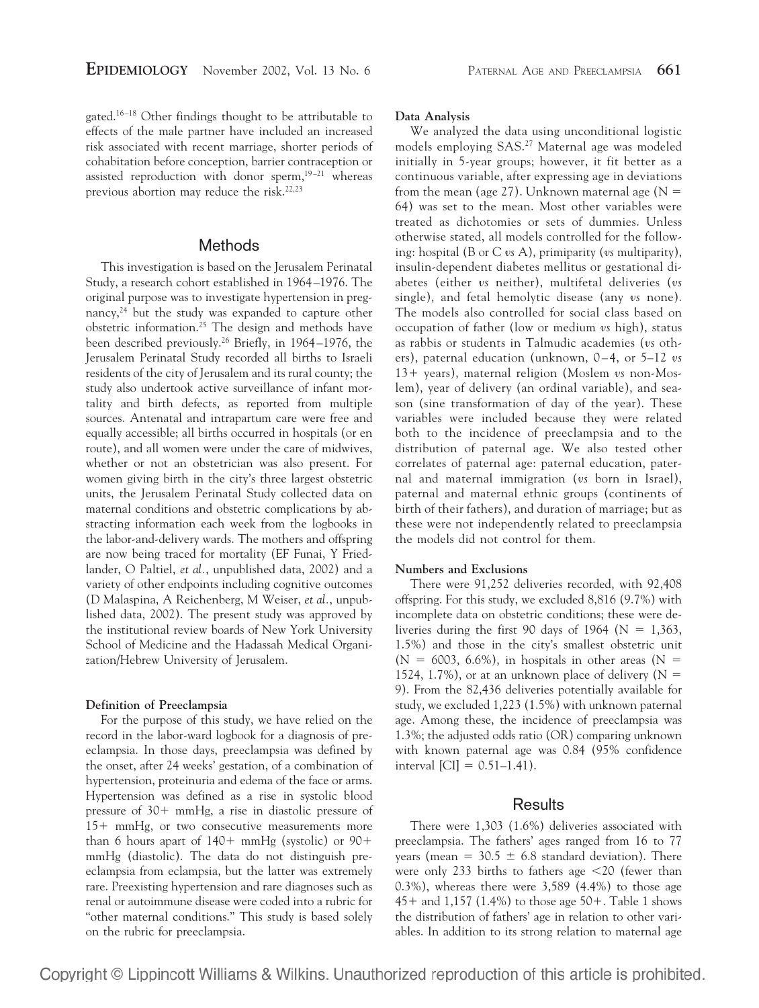gated.16–18 Other findings thought to be attributable to effects of the male partner have included an increased risk associated with recent marriage, shorter periods of cohabitation before conception, barrier contraception or assisted reproduction with donor sperm, $19-21$  whereas previous abortion may reduce the risk. $22,23$ 

## Methods

This investigation is based on the Jerusalem Perinatal Study, a research cohort established in 1964–1976. The original purpose was to investigate hypertension in pregnancy, $24$  but the study was expanded to capture other obstetric information.25 The design and methods have been described previously.26 Briefly, in 1964–1976, the Jerusalem Perinatal Study recorded all births to Israeli residents of the city of Jerusalem and its rural county; the study also undertook active surveillance of infant mortality and birth defects, as reported from multiple sources. Antenatal and intrapartum care were free and equally accessible; all births occurred in hospitals (or en route), and all women were under the care of midwives, whether or not an obstetrician was also present. For women giving birth in the city's three largest obstetric units, the Jerusalem Perinatal Study collected data on maternal conditions and obstetric complications by abstracting information each week from the logbooks in the labor-and-delivery wards. The mothers and offspring are now being traced for mortality (EF Funai, Y Friedlander, O Paltiel, *et al.*, unpublished data, 2002) and a variety of other endpoints including cognitive outcomes (D Malaspina, A Reichenberg, M Weiser, *et al.*, unpublished data, 2002). The present study was approved by the institutional review boards of New York University School of Medicine and the Hadassah Medical Organization/Hebrew University of Jerusalem.

#### **Definition of Preeclampsia**

For the purpose of this study, we have relied on the record in the labor-ward logbook for a diagnosis of preeclampsia. In those days, preeclampsia was defined by the onset, after 24 weeks' gestation, of a combination of hypertension, proteinuria and edema of the face or arms. Hypertension was defined as a rise in systolic blood pressure of 30+ mmHg, a rise in diastolic pressure of 15- mmHg, or two consecutive measurements more than 6 hours apart of  $140+$  mmHg (systolic) or  $90+$ mmHg (diastolic). The data do not distinguish preeclampsia from eclampsia, but the latter was extremely rare. Preexisting hypertension and rare diagnoses such as renal or autoimmune disease were coded into a rubric for "other maternal conditions." This study is based solely on the rubric for preeclampsia.

#### **Data Analysis**

We analyzed the data using unconditional logistic models employing SAS.27 Maternal age was modeled initially in 5-year groups; however, it fit better as a continuous variable, after expressing age in deviations from the mean (age 27). Unknown maternal age  $(N =$ 64) was set to the mean. Most other variables were treated as dichotomies or sets of dummies. Unless otherwise stated, all models controlled for the following: hospital (B or C *vs* A), primiparity (*vs* multiparity), insulin-dependent diabetes mellitus or gestational diabetes (either *vs* neither), multifetal deliveries (*vs* single), and fetal hemolytic disease (any *vs* none). The models also controlled for social class based on occupation of father (low or medium *vs* high), status as rabbis or students in Talmudic academies (*vs* others), paternal education (unknown, 0-4, or 5-12 *vs* 13- years), maternal religion (Moslem *vs* non-Moslem), year of delivery (an ordinal variable), and season (sine transformation of day of the year). These variables were included because they were related both to the incidence of preeclampsia and to the distribution of paternal age. We also tested other correlates of paternal age: paternal education, paternal and maternal immigration (*vs* born in Israel), paternal and maternal ethnic groups (continents of birth of their fathers), and duration of marriage; but as these were not independently related to preeclampsia the models did not control for them.

#### **Numbers and Exclusions**

There were 91,252 deliveries recorded, with 92,408 offspring. For this study, we excluded 8,816 (9.7%) with incomplete data on obstetric conditions; these were deliveries during the first 90 days of 1964 ( $N = 1,363$ , 1.5%) and those in the city's smallest obstetric unit  $(N = 6003, 6.6\%)$ , in hospitals in other areas  $(N = 6003, 6.6\%)$ 1524, 1.7%), or at an unknown place of delivery  $(N =$ 9). From the 82,436 deliveries potentially available for study, we excluded 1,223 (1.5%) with unknown paternal age. Among these, the incidence of preeclampsia was 1.3%; the adjusted odds ratio (OR) comparing unknown with known paternal age was 0.84 (95% confidence interval  $[CI] = 0.51 - 1.41$ .

### **Results**

There were 1,303 (1.6%) deliveries associated with preeclampsia. The fathers' ages ranged from 16 to 77 years (mean =  $30.5 \pm 6.8$  standard deviation). There were only 233 births to fathers age 20 (fewer than 0.3%), whereas there were 3,589 (4.4%) to those age 45- and 1,157 (1.4%) to those age 50-. Table 1 shows the distribution of fathers' age in relation to other variables. In addition to its strong relation to maternal age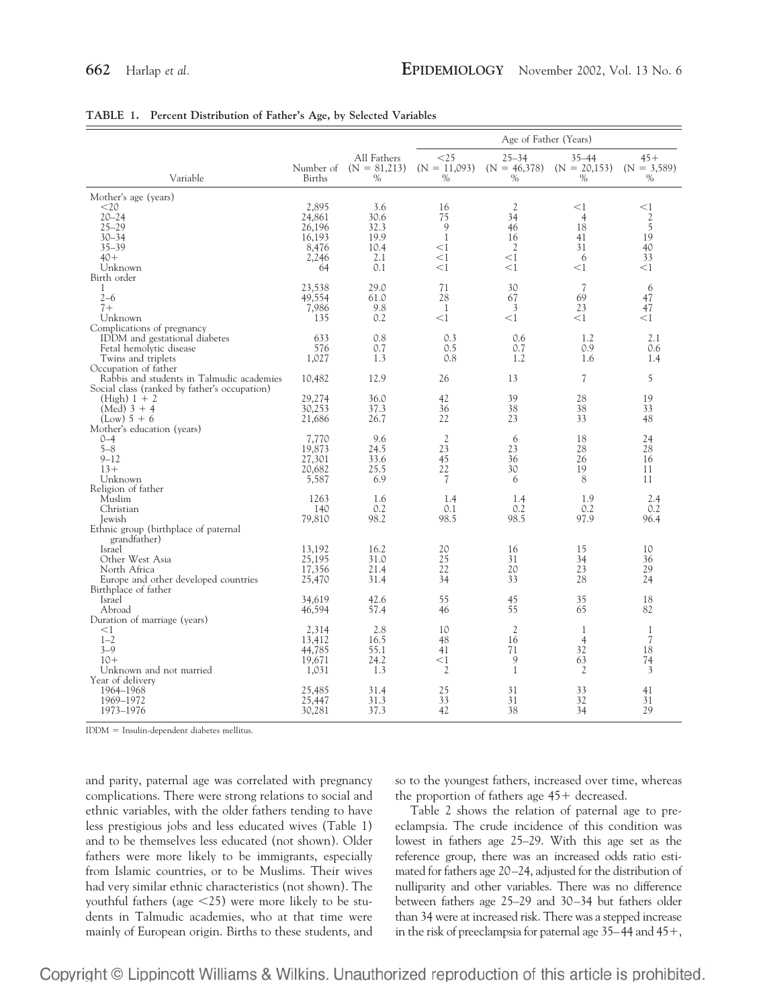|                                              |                  |                                                 | Age of Father (Years)            |                                     |                                     |                                |
|----------------------------------------------|------------------|-------------------------------------------------|----------------------------------|-------------------------------------|-------------------------------------|--------------------------------|
| Variable                                     | Births           | All Fathers<br>Number of $(N = 81,213)$<br>$\%$ | $<$ 25<br>$(N = 11.093)$<br>$\%$ | $25 - 34$<br>$(N = 46,378)$<br>$\%$ | $35 - 44$<br>$(N = 20,153)$<br>$\%$ | $45+$<br>$(N = 3,589)$<br>$\%$ |
| Mother's age (years)                         |                  |                                                 |                                  |                                     |                                     |                                |
| $<$ 20                                       | 2,895            | 3.6                                             | 16                               | 2                                   | $<$ 1                               | $<$ 1                          |
| $20 - 24$<br>$25 - 29$                       | 24,861           | 30.6<br>32.3                                    | 75<br>9                          | 34                                  | $\overline{4}$<br>18                | $\frac{2}{5}$                  |
| $30 - 34$                                    | 26,196<br>16,193 | 19.9                                            | $\mathbf{1}$                     | 46<br>16                            | 41                                  | 19                             |
| $35 - 39$                                    | 8,476            | 10.4                                            | $<$ 1                            | 2                                   | 31                                  | 40                             |
| $40+$                                        | 2,246            | 2.1                                             | $<$ 1                            | $<$ 1                               | 6                                   | 33                             |
| Unknown                                      | 64               | 0.1                                             | $<$ 1                            | $<$ 1                               | $<$ 1                               | $<$ 1                          |
| Birth order                                  |                  |                                                 |                                  |                                     |                                     |                                |
| 1<br>$2 - 6$                                 | 23,538<br>49,554 | 29.0<br>61.0                                    | 71<br>28                         | 30<br>67                            | 7<br>69                             | 6<br>47                        |
| $7+$                                         | 7,986            | 9.8                                             | 1                                | 3                                   | 23                                  | 47                             |
| Unknown                                      | 135              | 0.2                                             | $<$ 1                            | $<$ 1                               | $<$ 1                               | $<$ 1                          |
| Complications of pregnancy                   |                  |                                                 |                                  |                                     |                                     |                                |
| IDDM and gestational diabetes                | 633              | 0.8                                             | 0.3                              | 0.6                                 | 1.2                                 | 2.1                            |
| Fetal hemolytic disease                      | 576<br>1,027     | 0.7<br>1.3                                      | 0.5<br>0.8                       | 0.7<br>1.2                          | 0.9<br>1.6                          | 0.6<br>1.4                     |
| Twins and triplets<br>Occupation of father   |                  |                                                 |                                  |                                     |                                     |                                |
| Rabbis and students in Talmudic academies    | 10,482           | 12.9                                            | 26                               | 13                                  | $\overline{\mathcal{L}}$            | 5                              |
| Social class (ranked by father's occupation) |                  |                                                 |                                  |                                     |                                     |                                |
| $(High) 1 + 2$                               | 29,274           | 36.0                                            | 42                               | 39                                  | 28                                  | 19                             |
| $(Med)$ 3 + 4                                | 30,253           | 37.3                                            | 36<br>22                         | 38<br>23                            | 38<br>33                            | 33                             |
| $(Low) 5 + 6$<br>Mother's education (years)  | 21,686           | 26.7                                            |                                  |                                     |                                     | 48                             |
| $0 - 4$                                      | 7,770            | 9.6                                             | $\mathfrak{2}$                   | 6                                   | 18                                  | 24                             |
| $5 - 8$                                      | 19,873           | 24.5                                            | 23                               | 23                                  | 28                                  | 28                             |
| $9 - 12$                                     | 27,301           | 33.6                                            | 45                               | 36                                  | 26                                  | 16                             |
| $13+$                                        | 20,682           | 25.5                                            | 22                               | 30                                  | 19                                  | 11                             |
| Unknown<br>Religion of father                | 5,587            | 6.9                                             | $\overline{\mathcal{U}}$         | 6                                   | 8                                   | 11                             |
| Muslim                                       | 1263             | 1.6                                             | 1.4                              | 1.4                                 | 1.9                                 | 2.4                            |
| Christian                                    | 140              | 0.2                                             | 0.1                              | 0.2                                 | 0.2                                 | 0.2                            |
| <b>Jewish</b>                                | 79,810           | 98.2                                            | 98.5                             | 98.5                                | 97.9                                | 96.4                           |
| Ethnic group (birthplace of paternal         |                  |                                                 |                                  |                                     |                                     |                                |
| grandfather)<br>Israel                       | 13,192           | 16.2                                            | 20                               | 16                                  | 15                                  | 10                             |
| Other West Asia                              | 25,195           | 31.0                                            | 25                               | 31                                  | 34                                  | 36                             |
| North Africa                                 | 17,356           | 21.4                                            | 22                               | 20                                  | 23                                  | 29                             |
| Europe and other developed countries         | 25,470           | 31.4                                            | 34                               | 33                                  | 28                                  | 24                             |
| Birthplace of father                         |                  |                                                 |                                  |                                     |                                     |                                |
| Israel<br>Abroad                             | 34,619<br>46,594 | 42.6<br>57.4                                    | 55<br>46                         | 45<br>55                            | 35<br>65                            | 18<br>82                       |
| Duration of marriage (years)                 |                  |                                                 |                                  |                                     |                                     |                                |
| $<$ 1                                        | 2,314            | 2.8                                             | 10                               | $\overline{2}$                      | 1                                   | 1                              |
| $1 - 2$                                      | 13,412           | 16.5                                            | 48                               | 16                                  | $\overline{4}$                      | 7                              |
| $3 - 9$                                      | 44,785           | 55.1                                            | 41                               | 71                                  | 32                                  | 18                             |
| $10+$                                        | 19,671           | 24.2                                            | $<$ 1<br>$\overline{2}$          | 9<br>$\mathbf{1}$                   | 63<br>$\overline{2}$                | 74<br>3                        |
| Unknown and not married<br>Year of delivery  | 1,031            | 1.3                                             |                                  |                                     |                                     |                                |
| 1964-1968                                    | 25,485           | 31.4                                            | 25                               | 31                                  | 33                                  | 41                             |
| 1969-1972                                    | 25,447           | 31.3                                            | 33                               | 31                                  | 32                                  | 31                             |
| 1973-1976                                    | 30,281           | 37.3                                            | 42                               | 38                                  | 34                                  | 29                             |

|  | TABLE 1. Percent Distribution of Father's Age, by Selected Variables |  |  |  |
|--|----------------------------------------------------------------------|--|--|--|
|--|----------------------------------------------------------------------|--|--|--|

 $IDDM = Insulin-dependent diabetes mellitus.$ 

and parity, paternal age was correlated with pregnancy complications. There were strong relations to social and ethnic variables, with the older fathers tending to have less prestigious jobs and less educated wives (Table 1) and to be themselves less educated (not shown). Older fathers were more likely to be immigrants, especially from Islamic countries, or to be Muslims. Their wives had very similar ethnic characteristics (not shown). The youthful fathers (age  $\langle 25 \rangle$ ) were more likely to be students in Talmudic academies, who at that time were mainly of European origin. Births to these students, and

so to the youngest fathers, increased over time, whereas the proportion of fathers age 45- decreased.

Table 2 shows the relation of paternal age to preeclampsia. The crude incidence of this condition was lowest in fathers age 25–29. With this age set as the reference group, there was an increased odds ratio estimated for fathers age 20–24, adjusted for the distribution of nulliparity and other variables. There was no difference between fathers age 25–29 and 30–34 but fathers older than 34 were at increased risk. There was a stepped increase in the risk of preeclampsia for paternal age 35–44 and 45-,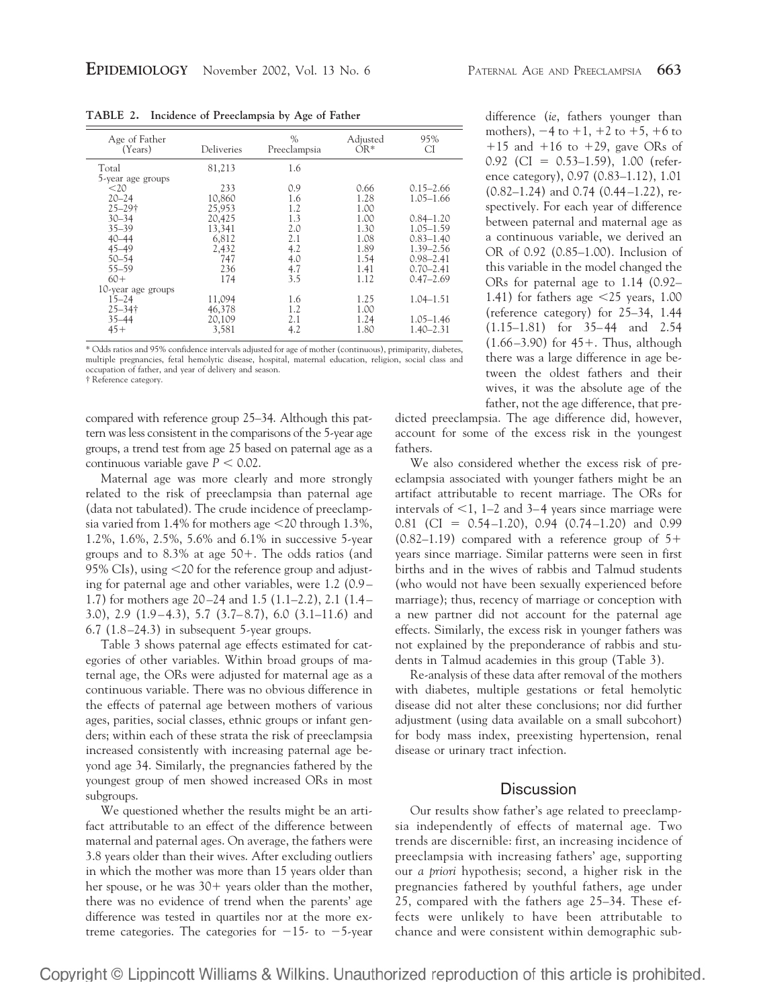| Age of Father<br>(Years) | Deliveries | $\%$<br>Preeclampsia | Adjusted<br>$OR*$ | 95%<br>CI     |
|--------------------------|------------|----------------------|-------------------|---------------|
| Total                    | 81,213     | 1.6                  |                   |               |
| 5-year age groups        |            |                      |                   |               |
| $<$ 20                   | 233        | 0.9                  | 0.66              | $0.15 - 2.66$ |
| $20 - 24$                | 10,860     | 1.6                  | 1.28              | 1.05-1.66     |
| $25 - 29$ †              | 25,953     | 1.2                  | 1.00              |               |
| $30 - 34$                | 20,425     | 1.3                  | 1.00              | $0.84 - 1.20$ |
| $35 - 39$                | 13,341     | 2.0                  | 1.30              | 1.05-1.59     |
| $40 - 44$                | 6,812      | 2.1                  | 1.08              | $0.83 - 1.40$ |
| $45 - 49$                | 2,432      | 4.2                  | 1.89              | $1.39 - 2.56$ |
| $50 - 54$                | 747        | 4.0                  | 1.54              | $0.98 - 2.41$ |
| $55 - 59$                | 236        | 4.7                  | 1.41              | $0.70 - 2.41$ |
| $60+$                    | 174        | 3.5                  | 1.12              | $0.47 - 2.69$ |
| 10-year age groups       |            |                      |                   |               |
| $15 - 24$                | 11,094     | 1.6                  | 1.25              | $1.04 - 1.51$ |
| $25 - 34$ †              | 46,378     | 1.2                  | 1.00              |               |
| $35 - 44$                | 20,109     | 2.1                  | 1.24              | 1.05–1.46     |
| $45+$                    | 3.581      | 4.2                  | 1.80              | $1.40 - 2.31$ |
|                          |            |                      |                   |               |

**TABLE 2. Incidence of Preeclampsia by Age of Father**

\* Odds ratios and 95% confidence intervals adjusted for age of mother (continuous), primiparity, diabetes, multiple pregnancies, fetal hemolytic disease, hospital, maternal education, religion, social class and occupation of father, and year of delivery and season. † Reference category.

compared with reference group 25–34. Although this pattern was less consistent in the comparisons of the 5-year age groups, a trend test from age 25 based on paternal age as a continuous variable gave  $P < 0.02$ .

Maternal age was more clearly and more strongly related to the risk of preeclampsia than paternal age (data not tabulated). The crude incidence of preeclampsia varied from 1.4% for mothers age  $\leq$  20 through 1.3%, 1.2%, 1.6%, 2.5%, 5.6% and 6.1% in successive 5-year groups and to 8.3% at age 50-. The odds ratios (and 95% CIs), using 20 for the reference group and adjusting for paternal age and other variables, were 1.2 (0.9– 1.7) for mothers age 20–24 and 1.5 (1.1–2.2), 2.1 (1.4– 3.0), 2.9 (1.9–4.3), 5.7 (3.7–8.7), 6.0 (3.1–11.6) and 6.7  $(1.8-24.3)$  in subsequent 5-year groups.

Table 3 shows paternal age effects estimated for categories of other variables. Within broad groups of maternal age, the ORs were adjusted for maternal age as a continuous variable. There was no obvious difference in the effects of paternal age between mothers of various ages, parities, social classes, ethnic groups or infant genders; within each of these strata the risk of preeclampsia increased consistently with increasing paternal age beyond age 34. Similarly, the pregnancies fathered by the youngest group of men showed increased ORs in most subgroups.

We questioned whether the results might be an artifact attributable to an effect of the difference between maternal and paternal ages. On average, the fathers were 3.8 years older than their wives. After excluding outliers in which the mother was more than 15 years older than her spouse, or he was 30+ years older than the mother, there was no evidence of trend when the parents' age difference was tested in quartiles nor at the more extreme categories. The categories for  $-15$ - to  $-5$ -year difference (*ie*, fathers younger than mothers),  $-4$  to  $+1$ ,  $+2$  to  $+5$ ,  $+6$  to  $+15$  and  $+16$  to  $+29$ , gave ORs of 0.92 (CI =  $0.53-1.59$ ), 1.00 (reference category), 0.97 (0.83–1.12), 1.01 (0.82–1.24) and 0.74 (0.44–1.22), respectively. For each year of difference between paternal and maternal age as a continuous variable, we derived an OR of 0.92 (0.85–1.00). Inclusion of this variable in the model changed the ORs for paternal age to 1.14 (0.92– 1.41) for fathers age  $\leq$  25 years, 1.00 (reference category) for 25–34, 1.44 (1.15–1.81) for 35–44 and 2.54  $(1.66 - 3.90)$  for  $45 +$ . Thus, although there was a large difference in age between the oldest fathers and their wives, it was the absolute age of the father, not the age difference, that pre-

dicted preeclampsia. The age difference did, however, account for some of the excess risk in the youngest fathers.

We also considered whether the excess risk of preeclampsia associated with younger fathers might be an artifact attributable to recent marriage. The ORs for intervals of  $\leq 1$ , 1–2 and 3–4 years since marriage were 0.81 (CI =  $0.54-1.20$ ), 0.94 (0.74 $-1.20$ ) and 0.99  $(0.82-1.19)$  compared with a reference group of  $5+$ years since marriage. Similar patterns were seen in first births and in the wives of rabbis and Talmud students (who would not have been sexually experienced before marriage); thus, recency of marriage or conception with a new partner did not account for the paternal age effects. Similarly, the excess risk in younger fathers was not explained by the preponderance of rabbis and students in Talmud academies in this group (Table 3).

Re-analysis of these data after removal of the mothers with diabetes, multiple gestations or fetal hemolytic disease did not alter these conclusions; nor did further adjustment (using data available on a small subcohort) for body mass index, preexisting hypertension, renal disease or urinary tract infection.

## **Discussion**

Our results show father's age related to preeclampsia independently of effects of maternal age. Two trends are discernible: first, an increasing incidence of preeclampsia with increasing fathers' age, supporting our *a priori* hypothesis; second, a higher risk in the pregnancies fathered by youthful fathers, age under 25, compared with the fathers age 25–34. These effects were unlikely to have been attributable to chance and were consistent within demographic sub-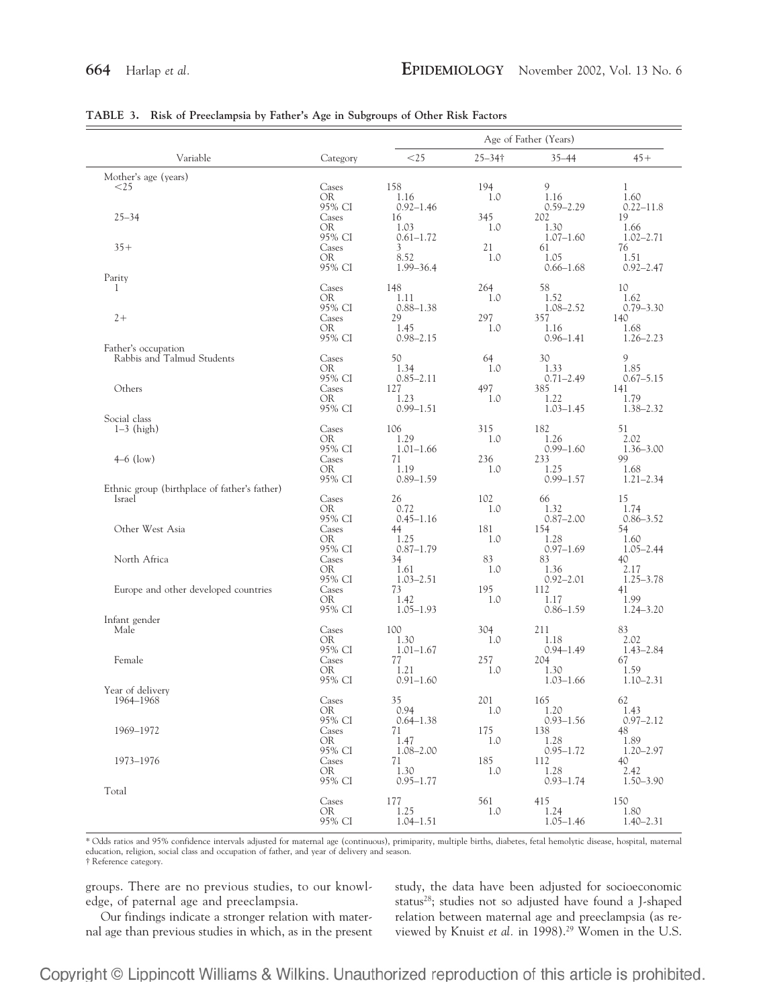|                                                             |                                       |                                    | Age of Father (Years) |                                    |                                   |  |
|-------------------------------------------------------------|---------------------------------------|------------------------------------|-----------------------|------------------------------------|-----------------------------------|--|
| Variable                                                    | Category                              | $<$ 25                             | $25 - 34$ †           | $35 - 44$                          | $45+$                             |  |
| Mother's age (years)<br>$<$ 25                              | Cases<br>OR<br>95% CI                 | 158<br>1.16<br>$0.92 - 1.46$       | 194<br>1.0            | 9<br>1.16<br>$0.59 - 2.29$         | 1<br>1.60<br>$0.22 - 11.8$        |  |
| $25 - 34$                                                   | Cases<br>OR<br>95% CI                 | 16<br>1.03<br>$0.61 - 1.72$        | 345<br>1.0            | 202<br>1.30<br>$1.07 - 1.60$       | 19<br>1.66<br>$1.02 - 2.71$       |  |
| $35+$                                                       | Cases<br>OR<br>95% CI                 | 3<br>8.52<br>1.99-36.4             | 21<br>1.0             | 61<br>1.05<br>$0.66 - 1.68$        | 76<br>1.51<br>$0.92 - 2.47$       |  |
| Parity<br>1                                                 | Cases<br>OR<br>95% CI                 | 148<br>1.11<br>$0.88 - 1.38$       | 264<br>1.0            | 58<br>1.52<br>$1.08 - 2.52$        | 10<br>1.62<br>$0.79 - 3.30$       |  |
| $2+$                                                        | Cases<br>OR<br>95% CI                 | 29<br>1.45<br>$0.98 - 2.15$        | 297<br>1.0            | 357<br>1.16<br>$0.96 - 1.41$       | 140<br>1.68<br>$1.26 - 2.23$      |  |
| Father's occupation<br>Rabbis and Talmud Students<br>Others | Cases<br><b>OR</b><br>95% CI<br>Cases | 50<br>1.34<br>$0.85 - 2.11$<br>127 | 64<br>1.0<br>497      | 30<br>1.33<br>$0.71 - 2.49$<br>385 | 9<br>1.85<br>$0.67 - 5.15$<br>141 |  |
| Social class                                                | OR<br>95% CI                          | 1.23<br>$0.99 - 1.51$              | 1.0                   | 1.22<br>$1.03 - 1.45$              | 1.79<br>1.38-2.32                 |  |
| $1-3$ (high)                                                | Cases<br>OR<br>95% CI                 | 106<br>1.29<br>$1.01 - 1.66$       | 315<br>1.0            | 182<br>1.26<br>$0.99 - 1.60$       | 51<br>2.02<br>$1.36 - 3.00$       |  |
| $4-6$ (low)                                                 | Cases<br>OR<br>95% CI                 | 71<br>1.19<br>$0.89 - 1.59$        | 236<br>1.0            | 233<br>1.25<br>$0.99 - 1.57$       | 99<br>1.68<br>$1.21 - 2.34$       |  |
| Ethnic group (birthplace of father's father)<br>Israel      | Cases<br>OR<br>95% CI                 | 26<br>0.72<br>$0.45 - 1.16$        | 102<br>1.0            | 66<br>1.32<br>$0.87 - 2.00$        | 15<br>1.74<br>$0.86 - 3.52$       |  |
| Other West Asia                                             | Cases<br>OR<br>95% CI                 | 44<br>1.25<br>$0.87 - 1.79$        | 181<br>1.0            | 154<br>1.28<br>$0.97 - 1.69$       | 54<br>1.60<br>$1.05 - 2.44$       |  |
| North Africa                                                | Cases<br>OR<br>95% CI                 | 34<br>1.61<br>$1.03 - 2.51$        | 83<br>1.0<br>195      | 83<br>1.36<br>$0.92 - 2.01$        | 40<br>2.17<br>$1.25 - 3.78$       |  |
| Europe and other developed countries<br>Infant gender       | Cases<br>OR<br>95% CI                 | 73<br>1.42<br>$1.05 - 1.93$        | 1.0                   | 112<br>1.17<br>$0.86 - 1.59$       | 41<br>1.99<br>$1.24 - 3.20$       |  |
| Male                                                        | Cases<br>OR.<br>95% CI                | 100<br>1.30<br>$1.01 - 1.67$       | 304<br>1.0            | 211<br>1.18<br>$0.94 - 1.49$       | 83<br>2.02<br>$1.43 - 2.84$       |  |
| Female                                                      | Cases<br>OR<br>95% CI                 | 77<br>1.21<br>$0.91 - 1.60$        | 257<br>1.0            | 204<br>1.30<br>$1.03 - 1.66$       | 67<br>1.59<br>$1.10 - 2.31$       |  |
| Year of delivery<br>1964-1968                               | Cases<br>OR<br>95% CI                 | 35<br>0.94<br>$0.64 - 1.38$        | 201<br>1.0            | 165<br>1.20<br>$0.93 - 1.56$       | 62<br>1.43<br>$0.97 - 2.12$       |  |
| 1969-1972                                                   | Cases<br>OR<br>95% CI                 | 71<br>1.47<br>1.08-2.00            | 175<br>1.0            | 138<br>1.28<br>$0.95 - 1.72$       | 48<br>1.89<br>$1.20 - 2.97$       |  |
| 1973-1976                                                   | Cases<br>OR<br>95% CI                 | 71<br>1.30<br>$0.95 - 1.77$        | 185<br>1.0            | 112<br>1.28<br>$0.93 - 1.74$       | 40<br>2.42<br>$1.50 - 3.90$       |  |
| Total                                                       | Cases<br>OR<br>95% CI                 | 177<br>1.25<br>$1.04 - 1.51$       | 561<br>1.0            | 415<br>1.24<br>$1.05 - 1.46$       | 150<br>1.80<br>$1.40 - 2.31$      |  |

**TABLE 3. Risk of Preeclampsia by Father's Age in Subgroups of Other Risk Factors**

\* Odds ratios and 95% confidence intervals adjusted for maternal age (continuous), primiparity, multiple births, diabetes, fetal hemolytic disease, hospital, maternal education, religion, social class and occupation of father, and year of delivery and season.

† Reference category.

groups. There are no previous studies, to our knowledge, of paternal age and preeclampsia.

Our findings indicate a stronger relation with maternal age than previous studies in which, as in the present study, the data have been adjusted for socioeconomic status<sup>28</sup>; studies not so adjusted have found a J-shaped relation between maternal age and preeclampsia (as reviewed by Knuist et al. in 1998).<sup>29</sup> Women in the U.S.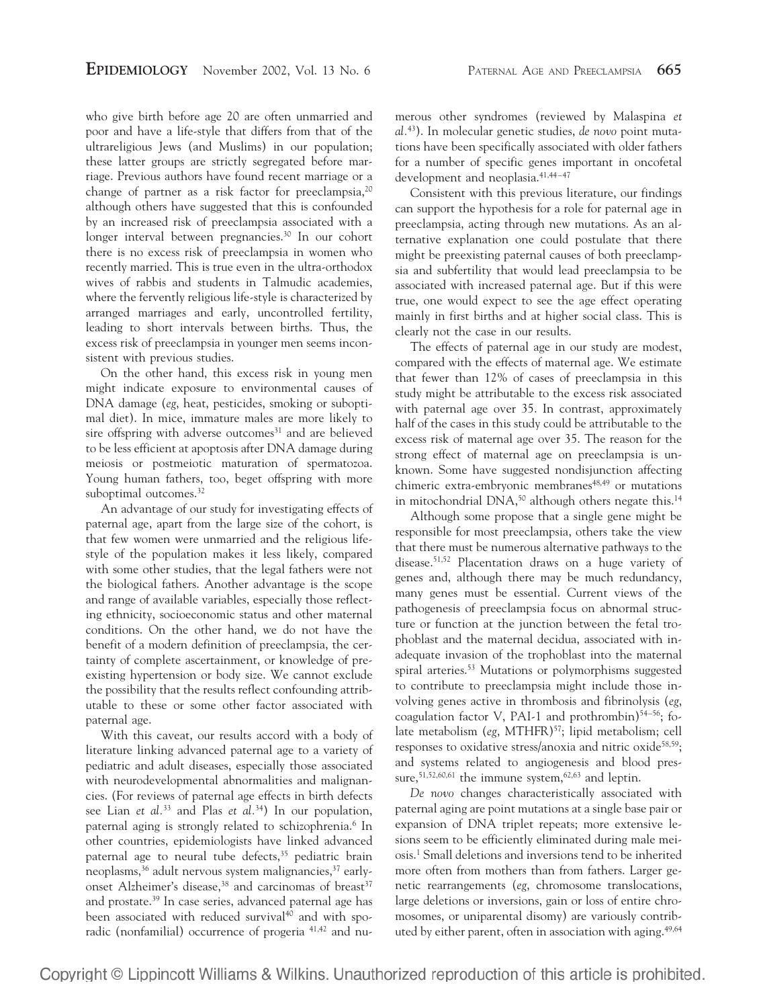who give birth before age 20 are often unmarried and poor and have a life-style that differs from that of the ultrareligious Jews (and Muslims) in our population; these latter groups are strictly segregated before marriage. Previous authors have found recent marriage or a change of partner as a risk factor for preeclampsia,  $20$ although others have suggested that this is confounded by an increased risk of preeclampsia associated with a longer interval between pregnancies.<sup>30</sup> In our cohort there is no excess risk of preeclampsia in women who recently married. This is true even in the ultra-orthodox wives of rabbis and students in Talmudic academies, where the fervently religious life-style is characterized by arranged marriages and early, uncontrolled fertility, leading to short intervals between births. Thus, the excess risk of preeclampsia in younger men seems inconsistent with previous studies.

On the other hand, this excess risk in young men might indicate exposure to environmental causes of DNA damage (*eg*, heat, pesticides, smoking or suboptimal diet). In mice, immature males are more likely to sire offspring with adverse outcomes<sup>31</sup> and are believed to be less efficient at apoptosis after DNA damage during meiosis or postmeiotic maturation of spermatozoa. Young human fathers, too, beget offspring with more suboptimal outcomes.<sup>32</sup>

An advantage of our study for investigating effects of paternal age, apart from the large size of the cohort, is that few women were unmarried and the religious lifestyle of the population makes it less likely, compared with some other studies, that the legal fathers were not the biological fathers. Another advantage is the scope and range of available variables, especially those reflecting ethnicity, socioeconomic status and other maternal conditions. On the other hand, we do not have the benefit of a modern definition of preeclampsia, the certainty of complete ascertainment, or knowledge of preexisting hypertension or body size. We cannot exclude the possibility that the results reflect confounding attributable to these or some other factor associated with paternal age.

With this caveat, our results accord with a body of literature linking advanced paternal age to a variety of pediatric and adult diseases, especially those associated with neurodevelopmental abnormalities and malignancies. (For reviews of paternal age effects in birth defects see Lian *et al.*<sup>33</sup> and Plas *et al.*34) In our population, paternal aging is strongly related to schizophrenia.<sup>6</sup> In other countries, epidemiologists have linked advanced paternal age to neural tube defects,<sup>35</sup> pediatric brain neoplasms,<sup>36</sup> adult nervous system malignancies,<sup>37</sup> earlyonset Alzheimer's disease,<sup>38</sup> and carcinomas of breast<sup>37</sup> and prostate.39 In case series, advanced paternal age has been associated with reduced survival<sup>40</sup> and with sporadic (nonfamilial) occurrence of progeria 41,42 and nu-

merous other syndromes (reviewed by Malaspina *et al.*43). In molecular genetic studies, *de novo* point mutations have been specifically associated with older fathers for a number of specific genes important in oncofetal development and neoplasia.41,44–47

Consistent with this previous literature, our findings can support the hypothesis for a role for paternal age in preeclampsia, acting through new mutations. As an alternative explanation one could postulate that there might be preexisting paternal causes of both preeclampsia and subfertility that would lead preeclampsia to be associated with increased paternal age. But if this were true, one would expect to see the age effect operating mainly in first births and at higher social class. This is clearly not the case in our results.

The effects of paternal age in our study are modest, compared with the effects of maternal age. We estimate that fewer than 12% of cases of preeclampsia in this study might be attributable to the excess risk associated with paternal age over 35. In contrast, approximately half of the cases in this study could be attributable to the excess risk of maternal age over 35. The reason for the strong effect of maternal age on preeclampsia is unknown. Some have suggested nondisjunction affecting chimeric extra-embryonic membranes<sup>48,49</sup> or mutations in mitochondrial DNA,<sup>50</sup> although others negate this.<sup>14</sup>

Although some propose that a single gene might be responsible for most preeclampsia, others take the view that there must be numerous alternative pathways to the disease.51,52 Placentation draws on a huge variety of genes and, although there may be much redundancy, many genes must be essential. Current views of the pathogenesis of preeclampsia focus on abnormal structure or function at the junction between the fetal trophoblast and the maternal decidua, associated with inadequate invasion of the trophoblast into the maternal spiral arteries.53 Mutations or polymorphisms suggested to contribute to preeclampsia might include those involving genes active in thrombosis and fibrinolysis (*eg*, coagulation factor V, PAI-1 and prothrombin) $54-56$ ; folate metabolism (eg, MTHFR)<sup>57</sup>; lipid metabolism; cell responses to oxidative stress/anoxia and nitric oxide<sup>58,59</sup>; and systems related to angiogenesis and blood pressure,  $51,52,60,61$  the immune system,  $62,63$  and leptin.

*De novo* changes characteristically associated with paternal aging are point mutations at a single base pair or expansion of DNA triplet repeats; more extensive lesions seem to be efficiently eliminated during male meiosis.1 Small deletions and inversions tend to be inherited more often from mothers than from fathers. Larger genetic rearrangements (*eg*, chromosome translocations, large deletions or inversions, gain or loss of entire chromosomes, or uniparental disomy) are variously contributed by either parent, often in association with aging.49,64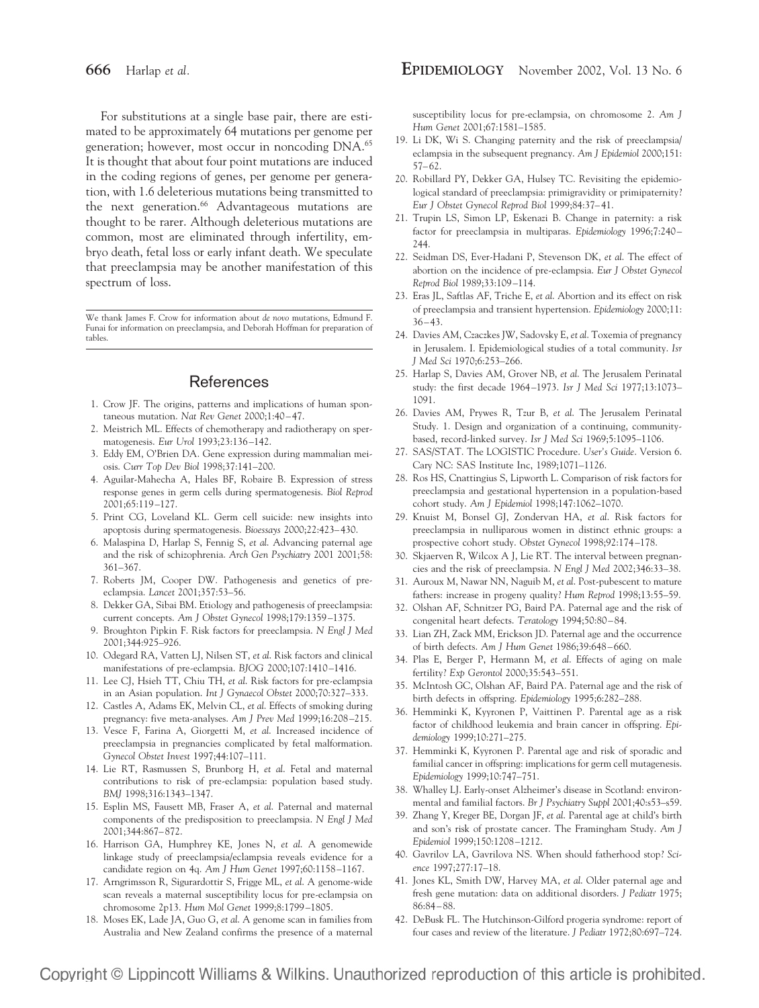For substitutions at a single base pair, there are estimated to be approximately 64 mutations per genome per generation; however, most occur in noncoding DNA.65 It is thought that about four point mutations are induced in the coding regions of genes, per genome per generation, with 1.6 deleterious mutations being transmitted to the next generation.<sup>66</sup> Advantageous mutations are thought to be rarer. Although deleterious mutations are common, most are eliminated through infertility, embryo death, fetal loss or early infant death. We speculate that preeclampsia may be another manifestation of this spectrum of loss.

We thank James F. Crow for information about *de novo* mutations, Edmund F. Funai for information on preeclampsia, and Deborah Hoffman for preparation of tables.

## References

- 1. Crow JF. The origins, patterns and implications of human spontaneous mutation. *Nat Rev Genet* 2000;1:40–47.
- 2. Meistrich ML. Effects of chemotherapy and radiotherapy on spermatogenesis. *Eur Urol* 1993;23:136–142.
- 3. Eddy EM, O'Brien DA. Gene expression during mammalian meiosis. *Curr Top Dev Biol* 1998;37:141–200.
- 4. Aguilar-Mahecha A, Hales BF, Robaire B. Expression of stress response genes in germ cells during spermatogenesis. *Biol Reprod* 2001;65:119–127.
- 5. Print CG, Loveland KL. Germ cell suicide: new insights into apoptosis during spermatogenesis. *Bioessays* 2000;22:423–430.
- 6. Malaspina D, Harlap S, Fennig S, *et al*. Advancing paternal age and the risk of schizophrenia. *Arch Gen Psychiatry* 2001 2001;58: 361–367.
- 7. Roberts JM, Cooper DW. Pathogenesis and genetics of preeclampsia. *Lancet* 2001;357:53–56.
- 8. Dekker GA, Sibai BM. Etiology and pathogenesis of preeclampsia: current concepts. *Am J Obstet Gynecol* 1998;179:1359–1375.
- 9. Broughton Pipkin F. Risk factors for preeclampsia. *N Engl J Med* 2001;344:925–926.
- 10. Odegard RA, Vatten LJ, Nilsen ST, *et al*. Risk factors and clinical manifestations of pre-eclampsia. *BJOG* 2000;107:1410–1416.
- 11. Lee CJ, Hsieh TT, Chiu TH, *et al*. Risk factors for pre-eclampsia in an Asian population. *Int J Gynaecol Obstet* 2000;70:327–333.
- 12. Castles A, Adams EK, Melvin CL, *et al*. Effects of smoking during pregnancy: five meta-analyses. *Am J Prev Med* 1999;16:208–215.
- 13. Vesce F, Farina A, Giorgetti M, *et al*. Increased incidence of preeclampsia in pregnancies complicated by fetal malformation. *Gynecol Obstet Invest* 1997;44:107–111.
- 14. Lie RT, Rasmussen S, Brunborg H, *et al*. Fetal and maternal contributions to risk of pre-eclampsia: population based study. *BMJ* 1998;316:1343–1347.
- 15. Esplin MS, Fausett MB, Fraser A, *et al*. Paternal and maternal components of the predisposition to preeclampsia. *N Engl J Med* 2001;344:867–872.
- 16. Harrison GA, Humphrey KE, Jones N, *et al*. A genomewide linkage study of preeclampsia/eclampsia reveals evidence for a candidate region on 4q. *Am J Hum Genet* 1997;60:1158–1167.
- 17. Arngrimsson R, Sigurardottir S, Frigge ML, *et al*. A genome-wide scan reveals a maternal susceptibility locus for pre-eclampsia on chromosome 2p13. *Hum Mol Genet* 1999;8:1799–1805.
- 18. Moses EK, Lade JA, Guo G, *et al*. A genome scan in families from Australia and New Zealand confirms the presence of a maternal

susceptibility locus for pre-eclampsia, on chromosome 2. *Am J Hum Genet* 2001;67:1581–1585.

- 19. Li DK, Wi S. Changing paternity and the risk of preeclampsia/ eclampsia in the subsequent pregnancy. *Am J Epidemiol* 2000;151: 57–62.
- 20. Robillard PY, Dekker GA, Hulsey TC. Revisiting the epidemiological standard of preeclampsia: primigravidity or primipaternity? *Eur J Obstet Gynecol Reprod Biol* 1999;84:37–41.
- 21. Trupin LS, Simon LP, Eskenazi B. Change in paternity: a risk factor for preeclampsia in multiparas. *Epidemiology* 1996;7:240– 244.
- 22. Seidman DS, Ever-Hadani P, Stevenson DK, *et al*. The effect of abortion on the incidence of pre-eclampsia. *Eur J Obstet Gynecol Reprod Biol* 1989;33:109–114.
- 23. Eras JL, Saftlas AF, Triche E, *et al*. Abortion and its effect on risk of preeclampsia and transient hypertension. *Epidemiology* 2000;11: 36–43.
- 24. Davies AM, Czaczkes JW, Sadovsky E, *et al*. Toxemia of pregnancy in Jerusalem. I. Epidemiological studies of a total community. *Isr J Med Sci* 1970;6:253–266.
- 25. Harlap S, Davies AM, Grover NB, *et al*. The Jerusalem Perinatal study: the first decade 1964–1973. *Isr J Med Sci* 1977;13:1073– 1091.
- 26. Davies AM, Prywes R, Tzur B, *et al*. The Jerusalem Perinatal Study. 1. Design and organization of a continuing, communitybased, record-linked survey. *Isr J Med Sci* 1969;5:1095–1106.
- 27. SAS/STAT. The LOGISTIC Procedure. *User's Guide*. Version 6. Cary NC: SAS Institute Inc, 1989;1071–1126.
- 28. Ros HS, Cnattingius S, Lipworth L. Comparison of risk factors for preeclampsia and gestational hypertension in a population-based cohort study. *Am J Epidemiol* 1998;147:1062–1070.
- 29. Knuist M, Bonsel GJ, Zondervan HA, *et al*. Risk factors for preeclampsia in nulliparous women in distinct ethnic groups: a prospective cohort study. *Obstet Gynecol* 1998;92:174–178.
- 30. Skjaerven R, Wilcox A J, Lie RT. The interval between pregnancies and the risk of preeclampsia. *N Engl J Med* 2002;346:33–38.
- 31. Auroux M, Nawar NN, Naguib M, *et al*. Post-pubescent to mature fathers: increase in progeny quality? *Hum Reprod* 1998;13:55–59.
- 32. Olshan AF, Schnitzer PG, Baird PA. Paternal age and the risk of congenital heart defects. *Teratology* 1994;50:80–84.
- 33. Lian ZH, Zack MM, Erickson JD. Paternal age and the occurrence of birth defects. *Am J Hum Genet* 1986;39:648–660.
- 34. Plas E, Berger P, Hermann M, *et al*. Effects of aging on male fertility? *Exp Gerontol* 2000;35:543–551.
- 35. McIntosh GC, Olshan AF, Baird PA. Paternal age and the risk of birth defects in offspring. *Epidemiology* 1995;6:282–288.
- 36. Hemminki K, Kyyronen P, Vaittinen P. Parental age as a risk factor of childhood leukemia and brain cancer in offspring. *Epidemiology* 1999;10:271–275.
- 37. Hemminki K, Kyyronen P. Parental age and risk of sporadic and familial cancer in offspring: implications for germ cell mutagenesis. *Epidemiology* 1999;10:747–751.
- 38. Whalley LJ. Early-onset Alzheimer's disease in Scotland: environmental and familial factors. *Br J Psychiatry Suppl* 2001;40:s53–s59.
- 39. Zhang Y, Kreger BE, Dorgan JF, *et al*. Parental age at child's birth and son's risk of prostate cancer. The Framingham Study. *Am J Epidemiol* 1999;150:1208–1212.
- 40. Gavrilov LA, Gavrilova NS. When should fatherhood stop? *Science* 1997;277:17–18.
- 41. Jones KL, Smith DW, Harvey MA, *et al*. Older paternal age and fresh gene mutation: data on additional disorders. *J Pediatr* 1975; 86:84–88.
- 42. DeBusk FL. The Hutchinson-Gilford progeria syndrome: report of four cases and review of the literature. *J Pediatr* 1972;80:697–724.